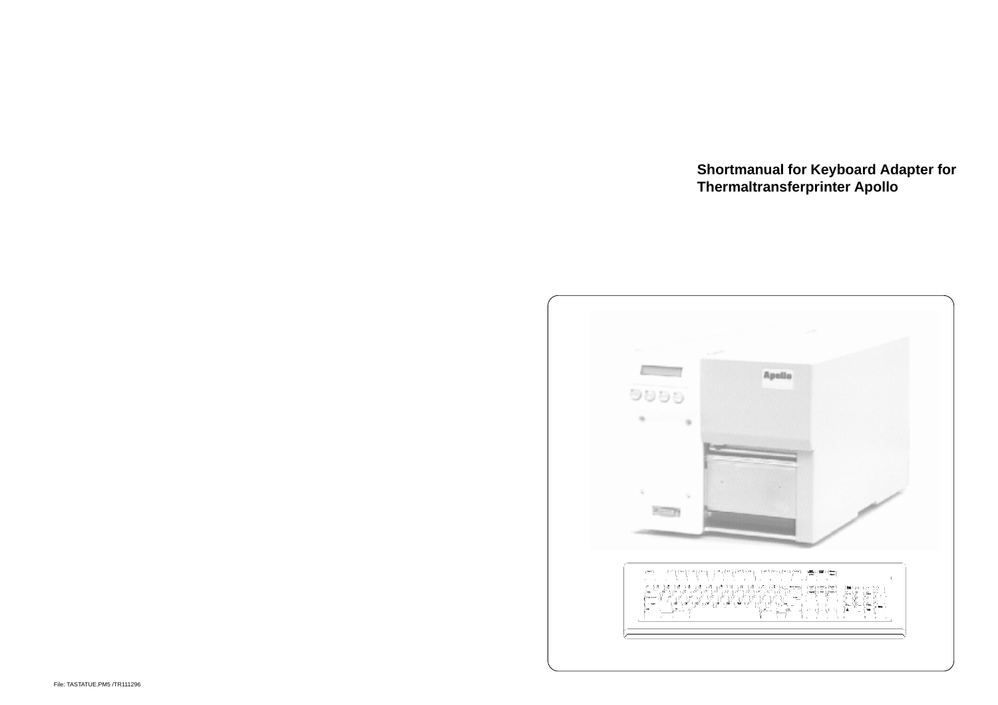**Shortmanual for Keyboard Adapter for Thermaltransferprinter Apollo**